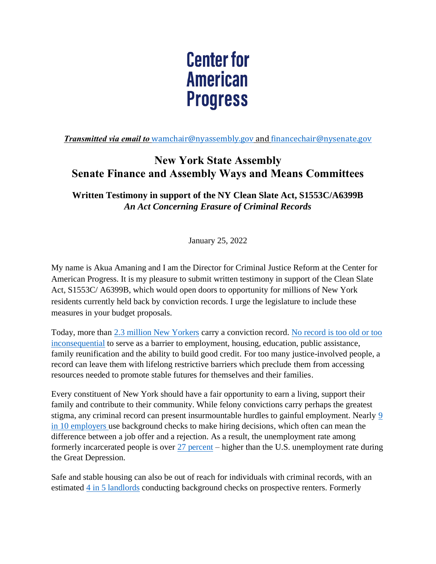## **Center for American Progress**

*Transmitted via email to* [wamchair@nyassembly.gov](mailto:wamchair@nyassembly.gov) and [financechair@nysenate.gov](mailto:financechair@nysenate.gov)

## **New York State Assembly Senate Finance and Assembly Ways and Means Committees**

**Written Testimony in support of the NY Clean Slate Act, S1553C/A6399B** *An Act Concerning Erasure of Criminal Records*

January 25, 2022

My name is Akua Amaning and I am the Director for Criminal Justice Reform at the Center for American Progress. It is my pleasure to submit written testimony in support of the Clean Slate Act, S1553C/ A6399B, which would open doors to opportunity for millions of New York residents currently held back by conviction records. I urge the legislature to include these measures in your budget proposals.

Today, more than [2.3 million New Yorkers](https://paperprisons.org/states/NY.html) carry a conviction record. [No record is too old or too](https://www.lsc.gov/sites/default/files/LSC/pdfs/documenting_the_justice_gap_in_america_2009.pdf)  [inconsequential](https://www.lsc.gov/sites/default/files/LSC/pdfs/documenting_the_justice_gap_in_america_2009.pdf) to serve as a barrier to employment, housing, education, public assistance, family reunification and the ability to build good credit. For too many justice-involved people, a record can leave them with lifelong restrictive barriers which preclude them from accessing resources needed to promote stable futures for themselves and their families.

Every constituent of New York should have a fair opportunity to earn a living, support their family and contribute to their community. While felony convictions carry perhaps the greatest stigma, any criminal record can present insurmountable hurdles to gainful employment. Nearly [9](https://www.americanprogress.org/issues/poverty/reports/2018/04/05/448711/news-can-use-research-roundup-re-entry-advocates/)  [in 10 employers](https://www.americanprogress.org/issues/poverty/reports/2018/04/05/448711/news-can-use-research-roundup-re-entry-advocates/) use background checks to make hiring decisions, which often can mean the difference between a job offer and a rejection. As a result, the unemployment rate among formerly incarcerated people is over [27 percent](https://www.prisonpolicy.org/reports/outofwork.html) – higher than the U.S. unemployment rate during the Great Depression.

Safe and stable housing can also be out of reach for individuals with criminal records, with an estimated [4 in 5 landlords](https://www.americanprogress.org/article/news-can-use-research-roundup-re-entry-advocates/) conducting background checks on prospective renters. Formerly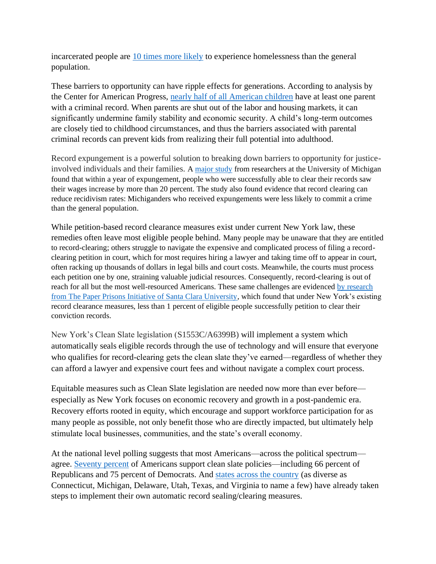incarcerated people are [10 times more likely](https://www.prisonpolicy.org/reports/outofwork.html) to experience homelessness than the general population.

These barriers to opportunity can have ripple effects for generations. According to analysis by the Center for American Progress, [nearly half of all American children](https://cdn.americanprogress.org/wp-content/uploads/2015/12/09060720/CriminalRecords-report2.pdf) have at least one parent with a criminal record. When parents are shut out of the labor and housing markets, it can significantly undermine family stability and economic security. A child's long-term outcomes are closely tied to childhood circumstances, and thus the barriers associated with parental criminal records can prevent kids from realizing their full potential into adulthood.

Record expungement is a powerful solution to breaking down barriers to opportunity for justiceinvolved individuals and their families. A [major study](https://papers.ssrn.com/sol3/papers.cfm?abstract_id=3353620) from researchers at the University of Michigan found that within a year of expungement, people who were successfully able to clear their records saw their wages increase by more than 20 percent. The study also found evidence that record clearing can reduce recidivism rates: Michiganders who received expungements were less likely to commit a crime than the general population.

While petition-based record clearance measures exist under current New York law, these remedies often leave most eligible people behind. Many people may be unaware that they are entitled to record-clearing; others struggle to navigate the expensive and complicated process of filing a recordclearing petition in court, which for most requires hiring a lawyer and taking time off to appear in court, often racking up thousands of dollars in legal bills and court costs. Meanwhile, the courts must process each petition one by one, straining valuable judicial resources. Consequently, record-clearing is out of reach for all but the most well-resourced Americans. These same challenges are evidenced [by research](https://paperprisons.org/states/NY.html)  [from The Paper Prisons Initiative of Santa Clara University,](https://paperprisons.org/states/NY.html) which found that under New York's existing record clearance measures, less than 1 percent of eligible people successfully petition to clear their conviction records.

New York's Clean Slate legislation (S1553C/A6399B) will implement a system which automatically seals eligible records through the use of technology and will ensure that everyone who qualifies for record-clearing gets the clean slate they've earned—regardless of whether they can afford a lawyer and expensive court fees and without navigate a complex court process.

Equitable measures such as Clean Slate legislation are needed now more than ever before especially as New York focuses on economic recovery and growth in a post-pandemic era. Recovery efforts rooted in equity, which encourage and support workforce participation for as many people as possible, not only benefit those who are directly impacted, but ultimately help stimulate local businesses, communities, and the state's overall economy.

At the national level polling suggests that most Americans—across the political spectrum agree. [Seventy percent](https://www.americanprogress.org/issues/criminal-justice/news/2018/06/20/451624/voters-across-party-lines-support-clean-slate-legislation/) of Americans support clean slate policies—including 66 percent of Republicans and 75 percent of Democrats. And [states across the country](https://www.cleanslateinitiative.org/state-map) (as diverse as Connecticut, Michigan, Delaware, Utah, Texas, and Virginia to name a few) have already taken steps to implement their own automatic record sealing/clearing measures.